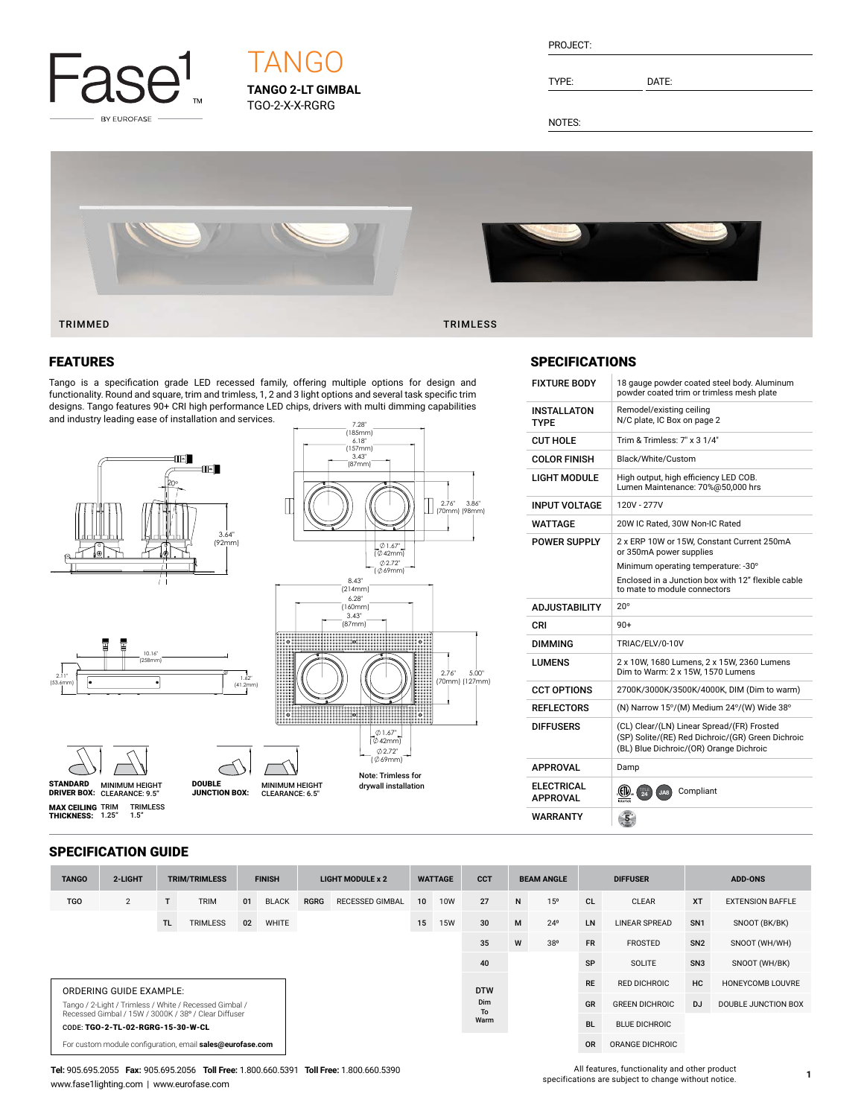

# **TANGO 2-LT GIMBAL TANGO**

TGO-2-X-X-RGRG

TYPE: DATE:

NOTES:



#### TRIMMED TRIMLESS

#### FEATURES

Tango is a specification grade LED recessed family, offering multiple options for design and functionality. Round and square, trim and trimless, 1, 2 and 3 light options and several task specific trim designs. Tango features 90+ CRI high performance LED chips, drivers with multi dimming capabilities and industry leading ease of installation and services.



#### **SPECIFICATIONS**

| <b>FIXTURE BODY</b>                  | 18 gauge powder coated steel body. Aluminum<br>powder coated trim or trimless mesh plate                                                   |
|--------------------------------------|--------------------------------------------------------------------------------------------------------------------------------------------|
| <b>INSTALLATON</b><br><b>TYPF</b>    | Remodel/existing ceiling<br>N/C plate, IC Box on page 2                                                                                    |
| <b>CUT HOLE</b>                      | Trim & Trimless: 7" x 3 1/4"                                                                                                               |
| COLOR FINISH                         | Black/White/Custom                                                                                                                         |
| LIGHT MODULE                         | High output, high efficiency LED COB.<br>Lumen Maintenance: 70%@50.000 hrs                                                                 |
| <b>INPUT VOLTAGE</b>                 | 120V - 277V                                                                                                                                |
| WATTAGE                              | 20W IC Rated, 30W Non-IC Rated                                                                                                             |
| POWER SUPPLY                         | 2 x ERP 10W or 15W. Constant Current 250mA<br>or 350mA power supplies                                                                      |
|                                      | Minimum operating temperature: -30°<br>Enclosed in a Junction box with 12" flexible cable<br>to mate to module connectors                  |
|                                      |                                                                                                                                            |
| <b>ADJUSTABILITY</b>                 | $20^{\circ}$                                                                                                                               |
| CRI                                  | $90+$                                                                                                                                      |
| <b>DIMMING</b>                       | TRIAC/ELV/0-10V                                                                                                                            |
| <b>I UMFNS</b>                       | 2 x 10W, 1680 Lumens, 2 x 15W, 2360 Lumens<br>Dim to Warm: 2 x 15W, 1570 Lumens                                                            |
| <b>CCT OPTIONS</b>                   | 2700K/3000K/3500K/4000K, DIM (Dim to warm)                                                                                                 |
| <b>REFLECTORS</b>                    | (N) Narrow 15°/(M) Medium 24°/(W) Wide 38°                                                                                                 |
| <b>DIFFUSERS</b>                     | (CL) Clear/(LN) Linear Spread/(FR) Frosted<br>(SP) Solite/(RE) Red Dichroic/(GR) Green Dichroic<br>(BL) Blue Dichroic/(OR) Orange Dichroic |
| <b>APPROVAL</b>                      | Damp                                                                                                                                       |
| <b>ELECTRICAL</b><br><b>APPROVAL</b> | Compliant<br>$\overline{24}$<br>JA8                                                                                                        |

#### SPECIFICATION GUIDE

| <b>TANGO</b>                                                                                                   | 2-LIGHT        | <b>TRIM/TRIMLESS</b> |                 | <b>FINISH</b> |              | <b>LIGHT MODULE x 2</b> |                        | <b>WATTAGE</b> |            | <b>CCT</b>     | <b>BEAM ANGLE</b>   |                 | <b>DIFFUSER</b>       |                      | <b>ADD-ONS</b>      |                         |
|----------------------------------------------------------------------------------------------------------------|----------------|----------------------|-----------------|---------------|--------------|-------------------------|------------------------|----------------|------------|----------------|---------------------|-----------------|-----------------------|----------------------|---------------------|-------------------------|
| <b>TGO</b>                                                                                                     | $\overline{2}$ |                      | <b>TRIM</b>     | 01            | <b>BLACK</b> | <b>RGRG</b>             | <b>RECESSED GIMBAL</b> | 10             | <b>10W</b> | 27             | N                   | 15 <sup>o</sup> | <b>CL</b>             | <b>CLEAR</b>         | <b>XT</b>           | <b>EXTENSION BAFFLE</b> |
|                                                                                                                |                | TL.                  | <b>TRIMLESS</b> | 02            | <b>WHITE</b> |                         |                        | 15             | <b>15W</b> | 30             | M                   | $24^{\circ}$    | <b>LN</b>             | <b>LINEAR SPREAD</b> | SN <sub>1</sub>     | SNOOT (BK/BK)           |
| W<br>35<br>38°                                                                                                 |                |                      |                 |               |              |                         |                        |                | <b>FR</b>  | <b>FROSTED</b> | SN <sub>2</sub>     | SNOOT (WH/WH)   |                       |                      |                     |                         |
|                                                                                                                |                |                      |                 |               |              |                         |                        | 40             |            |                | SP                  | SOLITE          | SN <sub>3</sub>       | SNOOT (WH/BK)        |                     |                         |
| <b>ORDERING GUIDE EXAMPLE:</b>                                                                                 |                |                      |                 |               |              |                         |                        | <b>DTW</b>     |            | <b>RE</b>      | <b>RED DICHROIC</b> | HC              | HONEYCOMB LOUVRE      |                      |                     |                         |
| Tango / 2-Light / Trimless / White / Recessed Gimbal /<br>Recessed Gimbal / 15W / 3000K / 38° / Clear Diffuser |                |                      |                 |               |              |                         | Dim<br>To<br>Warm      |                |            |                |                     | GR              | <b>GREEN DICHROIC</b> | D.J                  | DOUBLE JUNCTION BOX |                         |
| CODE: TGO-2-TL-02-RGRG-15-30-W-CL                                                                              |                |                      |                 |               |              |                         |                        |                |            |                |                     |                 | <b>BL</b>             | <b>BLUE DICHROIC</b> |                     |                         |
| For custom module configuration, email sales@eurofase.com                                                      |                |                      |                 |               |              |                         |                        |                |            |                |                     | <b>OR</b>       | ORANGE DICHROIC       |                      |                     |                         |

**Tel:** 905.695.2055 **Fax:** 905.695.2056 **Toll Free:** 1.800.660.5391 **Toll Free:** 1.800.660.5390 www.fase1lighting.com | www.eurofase.com

All features, functionality and other product specifications are subject to change without notice.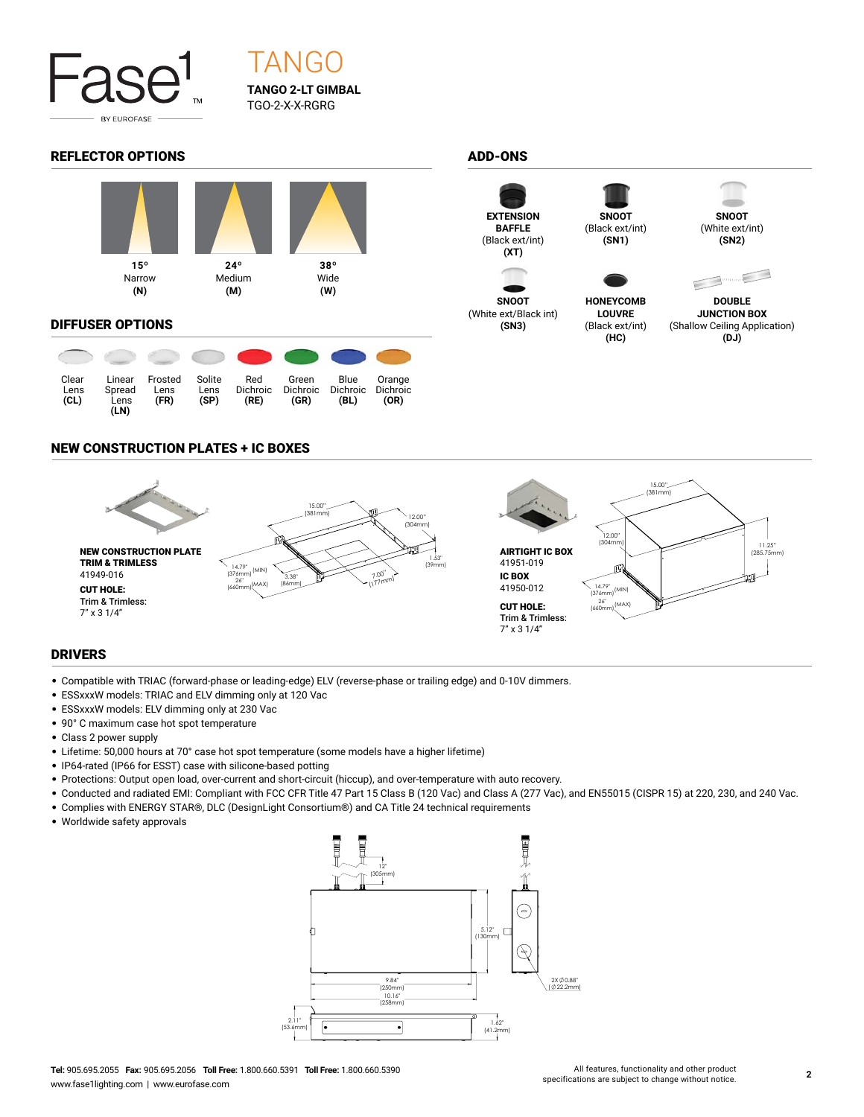

## **TANGO 2-LT GIMBAL** TGO-2-X-X-RGRG **TANGO**

#### REFLECTOR OPTIONS ADD-ONS



#### DIFFUSER OPTIONS

| Clear<br>Lens<br>(CL) | Linear<br>Spread<br>Lens<br>(LN) | Frosted<br>Lens<br>(FR) | Solite<br>Lens<br>(SP) | Red<br>Dichroic<br>(RE) | Green<br><b>Dichroic</b><br>(GR) | Blue<br><b>Dichroic</b><br>(BL) | Orange<br>Dichroic<br>(OR) |
|-----------------------|----------------------------------|-------------------------|------------------------|-------------------------|----------------------------------|---------------------------------|----------------------------|



**SNOOT** (White ext/Black int) **(SN3)**



(Black ext/int) **(SN1)**

**HONEYCOMB LOUVRE** (Black ext/int) **(HC)**



**(SN2)**



**DOUBLE JUNCTION BOX** (Shallow Ceiling Application) **(DJ)**

### NEW CONSTRUCTION PLATES + IC BOXES



#### DRIVERS

- Compatible with TRIAC (forward-phase or leading-edge) ELV (reverse-phase or trailing edge) and 0-10V dimmers.
- ESSxxxW models: TRIAC and ELV dimming only at 120 Vac
- ESSxxxW models: ELV dimming only at 230 Vac
- 90° C maximum case hot spot temperature
- Class 2 power supply
- Lifetime: 50,000 hours at 70° case hot spot temperature (some models have a higher lifetime)
- IP64-rated (IP66 for ESST) case with silicone-based potting
- Protections: Output open load, over-current and short-circuit (hiccup), and over-temperature with auto recovery.
- Conducted and radiated EMI: Compliant with FCC CFR Title 47 Part 15 Class B (120 Vac) and Class A (277 Vac), and EN55015 (CISPR 15) at 220, 230, and 240 Vac.
- Complies with ENERGY STAR®, DLC (DesignLight Consortium®) and CA Title 24 technical requirements
- Worldwide safety approvals